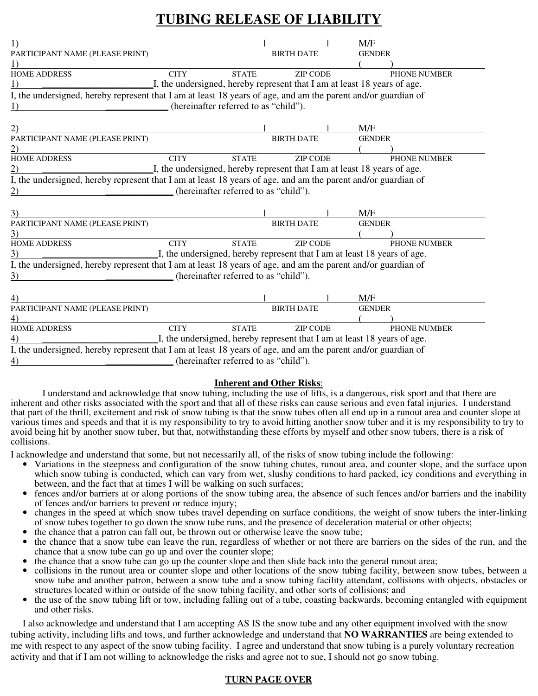# **TUBING RELEASE OF LIABILITY**

| $\left( \right)$                                                                                              |                                                                          |              |                   |  | M/F           |                     |
|---------------------------------------------------------------------------------------------------------------|--------------------------------------------------------------------------|--------------|-------------------|--|---------------|---------------------|
| PARTICIPANT NAME (PLEASE PRINT)                                                                               |                                                                          |              | <b>BIRTH DATE</b> |  | <b>GENDER</b> |                     |
|                                                                                                               |                                                                          |              |                   |  |               |                     |
| <b>HOME ADDRESS</b>                                                                                           | <b>CITY</b>                                                              | <b>STATE</b> | <b>ZIP CODE</b>   |  |               | PHONE NUMBER        |
| $\left( \right)$                                                                                              | I, the undersigned, hereby represent that I am at least 18 years of age. |              |                   |  |               |                     |
| I, the undersigned, hereby represent that I am at least 18 years of age, and am the parent and/or guardian of |                                                                          |              |                   |  |               |                     |
| (hereinafter referred to as "child").<br>1)                                                                   |                                                                          |              |                   |  |               |                     |
|                                                                                                               |                                                                          |              |                   |  |               |                     |
| 2)                                                                                                            |                                                                          |              |                   |  | M/F           |                     |
| PARTICIPANT NAME (PLEASE PRINT)                                                                               |                                                                          |              | <b>BIRTH DATE</b> |  | <b>GENDER</b> |                     |
| (2)                                                                                                           |                                                                          |              |                   |  |               |                     |
| <b>HOME ADDRESS</b>                                                                                           | <b>CITY</b>                                                              | <b>STATE</b> | <b>ZIP CODE</b>   |  |               | <b>PHONE NUMBER</b> |
| 2)                                                                                                            | I, the undersigned, hereby represent that I am at least 18 years of age. |              |                   |  |               |                     |
| I, the undersigned, hereby represent that I am at least 18 years of age, and am the parent and/or guardian of |                                                                          |              |                   |  |               |                     |
| (hereinafter referred to as "child").<br>$\overline{2}$ )                                                     |                                                                          |              |                   |  |               |                     |
|                                                                                                               |                                                                          |              |                   |  |               |                     |
| 3)                                                                                                            |                                                                          |              |                   |  | M/F           |                     |
| PARTICIPANT NAME (PLEASE PRINT)                                                                               |                                                                          |              | <b>BIRTH DATE</b> |  | <b>GENDER</b> |                     |
| 3)                                                                                                            |                                                                          |              |                   |  |               |                     |
| <b>HOME ADDRESS</b>                                                                                           | <b>CITY</b>                                                              | <b>STATE</b> | <b>ZIP CODE</b>   |  |               | PHONE NUMBER        |
| 3)                                                                                                            | I, the undersigned, hereby represent that I am at least 18 years of age. |              |                   |  |               |                     |
| I, the undersigned, hereby represent that I am at least 18 years of age, and am the parent and/or guardian of |                                                                          |              |                   |  |               |                     |
| (hereinafter referred to as "child").<br>3)                                                                   |                                                                          |              |                   |  |               |                     |
|                                                                                                               |                                                                          |              |                   |  |               |                     |
| 4)                                                                                                            |                                                                          |              |                   |  | M/F           |                     |
| PARTICIPANT NAME (PLEASE PRINT)                                                                               |                                                                          |              | <b>BIRTH DATE</b> |  | <b>GENDER</b> |                     |
| 4)                                                                                                            |                                                                          |              |                   |  |               |                     |
| <b>HOME ADDRESS</b>                                                                                           | <b>CITY</b>                                                              | <b>STATE</b> | <b>ZIP CODE</b>   |  |               | PHONE NUMBER        |
| 4)                                                                                                            | I, the undersigned, hereby represent that I am at least 18 years of age. |              |                   |  |               |                     |
| I, the undersigned, hereby represent that I am at least 18 years of age, and am the parent and/or guardian of |                                                                          |              |                   |  |               |                     |
| 4)                                                                                                            | (hereinafter referred to as "child").                                    |              |                   |  |               |                     |
|                                                                                                               |                                                                          |              |                   |  |               |                     |

#### **Inherent and Other Risks**:

I understand and acknowledge that snow tubing, including the use of lifts, is a dangerous, risk sport and that there are inherent and other risks associated with the sport and that all of these risks can cause serious and even fatal injuries. I understand that part of the thrill, excitement and risk of snow tubing is that the snow tubes often all end up in a runout area and counter slope at various times and speeds and that it is my responsibility to try to avoid hitting another snow tuber and it is my responsibility to try to avoid being hit by another snow tuber, but that, notwithstanding these efforts by myself and other snow tubers, there is a risk of collisions.

I acknowledge and understand that some, but not necessarily all, of the risks of snow tubing include the following:

- Variations in the steepness and configuration of the snow tubing chutes, runout area, and counter slope, and the surface upon which snow tubing is conducted, which can vary from wet, slushy conditions to hard packed, icy conditions and everything in between, and the fact that at times I will be walking on such surfaces;
- fences and/or barriers at or along portions of the snow tubing area, the absence of such fences and/or barriers and the inability of fences and/or barriers to prevent or reduce injury;
- changes in the speed at which snow tubes travel depending on surface conditions, the weight of snow tubers the inter-linking of snow tubes together to go down the snow tube runs, and the presence of deceleration material or other objects;
- the chance that a patron can fall out, be thrown out or otherwise leave the snow tube;
- the chance that a snow tube can leave the run, regardless of whether or not there are barriers on the sides of the run, and the chance that a snow tube can go up and over the counter slope;
- the chance that a snow tube can go up the counter slope and then slide back into the general runout area;
- collisions in the runout area or counter slope and other locations of the snow tubing facility, between snow tubes, between a snow tube and another patron, between a snow tube and a snow tubing facility attendant, collisions with objects, obstacles or structures located within or outside of the snow tubing facility, and other sorts of collisions; and
- the use of the snow tubing lift or tow, including falling out of a tube, coasting backwards, becoming entangled with equipment and other risks.

I also acknowledge and understand that I am accepting AS IS the snow tube and any other equipment involved with the snow tubing activity, including lifts and tows, and further acknowledge and understand that **NO WARRANTIES** are being extended to me with respect to any aspect of the snow tubing facility. I agree and understand that snow tubing is a purely voluntary recreation activity and that if I am not willing to acknowledge the risks and agree not to sue, I should not go snow tubing.

## **TURN PAGE OVER**